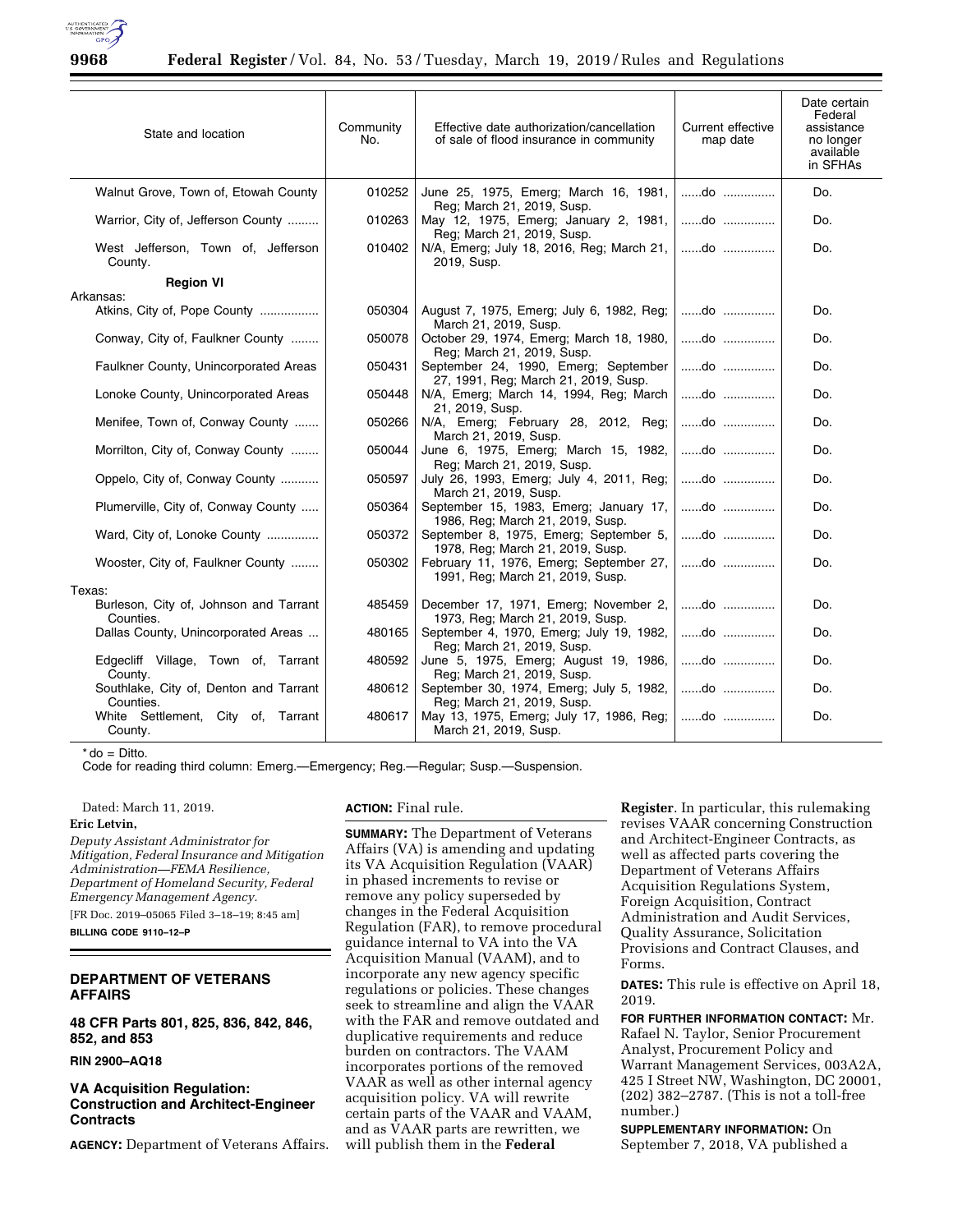

| State and location                                  | Community<br>No. | Effective date authorization/cancellation<br>of sale of flood insurance in community | Current effective<br>map date               | Date certain<br>Federal<br>assistance<br>no longer<br>available<br>in SFHAs |
|-----------------------------------------------------|------------------|--------------------------------------------------------------------------------------|---------------------------------------------|-----------------------------------------------------------------------------|
| Walnut Grove, Town of, Etowah County                | 010252           | June 25, 1975, Emerg; March 16, 1981,<br>Reg: March 21, 2019, Susp.                  | do                                          | Do.                                                                         |
| Warrior, City of, Jefferson County                  | 010263           | May 12, 1975, Emerg; January 2, 1981,<br>Reg; March 21, 2019, Susp.                  | do                                          | Do.                                                                         |
| West Jefferson, Town of, Jefferson<br>County.       | 010402           | N/A, Emerg; July 18, 2016, Reg; March 21,   do<br>2019, Susp.                        |                                             | Do.                                                                         |
| <b>Region VI</b>                                    |                  |                                                                                      |                                             |                                                                             |
| Arkansas:                                           |                  |                                                                                      |                                             |                                                                             |
| Atkins, City of, Pope County                        | 050304           | August 7, 1975, Emerg; July 6, 1982, Reg;   do<br>March 21, 2019, Susp.              |                                             | Do.                                                                         |
| Conway, City of, Faulkner County                    | 050078           | October 29, 1974, Emerg; March 18, 1980,<br>Reg; March 21, 2019, Susp.               | do                                          | Do.                                                                         |
| Faulkner County, Unincorporated Areas               | 050431           | September 24, 1990, Emerg; September<br>27, 1991, Reg; March 21, 2019, Susp.         | $\dots \dots$ .do $\dots \dots \dots \dots$ | Do.                                                                         |
| Lonoke County, Unincorporated Areas                 | 050448           | N/A, Emerg; March 14, 1994, Reg; March<br>21, 2019, Susp.                            | do                                          | Do.                                                                         |
| Menifee, Town of, Conway County                     | 050266           | N/A, Emerg; February 28, 2012, Reg;<br>March 21, 2019, Susp.                         | do                                          | Do.                                                                         |
| Morrilton, City of, Conway County                   | 050044           | June 6, 1975, Emerg; March 15, 1982,<br>Reg; March 21, 2019, Susp.                   | do                                          | Do.                                                                         |
| Oppelo, City of, Conway County                      | 050597           | July 26, 1993, Emerg; July 4, 2011, Reg;<br>March 21, 2019, Susp.                    | $$ do $$                                    | Do.                                                                         |
| Plumerville, City of, Conway County                 | 050364           | September 15, 1983, Emerg; January 17,<br>1986, Reg; March 21, 2019, Susp.           | do                                          | Do.                                                                         |
| Ward, City of, Lonoke County                        | 050372           | September 8, 1975, Emerg; September 5,<br>1978, Reg; March 21, 2019, Susp.           | $\dots \dots$ .do $\dots \dots \dots \dots$ | Do.                                                                         |
| Wooster, City of, Faulkner County                   | 050302           | February 11, 1976, Emerg; September 27,<br>1991, Reg; March 21, 2019, Susp.          | do                                          | Do.                                                                         |
| Texas:                                              |                  |                                                                                      |                                             |                                                                             |
| Burleson, City of, Johnson and Tarrant<br>Counties. | 485459           | December 17, 1971, Emerg; November 2,<br>1973, Reg; March 21, 2019, Susp.            | $\dots \dots$ do $\dots \dots \dots$        | Do.                                                                         |
| Dallas County, Unincorporated Areas                 | 480165           | September 4, 1970, Emerg; July 19, 1982,<br>Reg; March 21, 2019, Susp.               | do                                          | Do.                                                                         |
| Edgecliff Village, Town of, Tarrant<br>County.      | 480592           | June 5, 1975, Emerg; August 19, 1986,<br>Reg; March 21, 2019, Susp.                  | do                                          | Do.                                                                         |
| Southlake, City of, Denton and Tarrant<br>Counties. | 480612           | September 30, 1974, Emerg; July 5, 1982,<br>Reg; March 21, 2019, Susp.               | do                                          | Do.                                                                         |
| White Settlement, City of, Tarrant<br>County.       | 480617           | May 13, 1975, Emerg; July 17, 1986, Reg;<br>March 21, 2019, Susp.                    | do                                          | Do.                                                                         |

 $*$  do = Ditto.

Code for reading third column: Emerg.—Emergency; Reg.—Regular; Susp.—Suspension.

Dated: March 11, 2019.

# **Eric Letvin,**

*Deputy Assistant Administrator for Mitigation, Federal Insurance and Mitigation Administration—FEMA Resilience, Department of Homeland Security, Federal Emergency Management Agency.* 

[FR Doc. 2019–05065 Filed 3–18–19; 8:45 am]

**BILLING CODE 9110–12–P** 

# **DEPARTMENT OF VETERANS AFFAIRS**

**48 CFR Parts 801, 825, 836, 842, 846, 852, and 853** 

**RIN 2900–AQ18** 

# **VA Acquisition Regulation: Construction and Architect-Engineer Contracts**

**AGENCY:** Department of Veterans Affairs.

**ACTION:** Final rule.

**SUMMARY:** The Department of Veterans Affairs (VA) is amending and updating its VA Acquisition Regulation (VAAR) in phased increments to revise or remove any policy superseded by changes in the Federal Acquisition Regulation (FAR), to remove procedural guidance internal to VA into the VA Acquisition Manual (VAAM), and to incorporate any new agency specific regulations or policies. These changes seek to streamline and align the VAAR with the FAR and remove outdated and duplicative requirements and reduce burden on contractors. The VAAM incorporates portions of the removed VAAR as well as other internal agency acquisition policy. VA will rewrite certain parts of the VAAR and VAAM, and as VAAR parts are rewritten, we will publish them in the **Federal** 

**Register**. In particular, this rulemaking revises VAAR concerning Construction and Architect-Engineer Contracts, as well as affected parts covering the Department of Veterans Affairs Acquisition Regulations System, Foreign Acquisition, Contract Administration and Audit Services, Quality Assurance, Solicitation Provisions and Contract Clauses, and Forms.

**DATES:** This rule is effective on April 18, 2019.

**FOR FURTHER INFORMATION CONTACT:** Mr. Rafael N. Taylor, Senior Procurement Analyst, Procurement Policy and Warrant Management Services, 003A2A, 425 I Street NW, Washington, DC 20001, (202) 382–2787. (This is not a toll-free number.)

**SUPPLEMENTARY INFORMATION:** On September 7, 2018, VA published a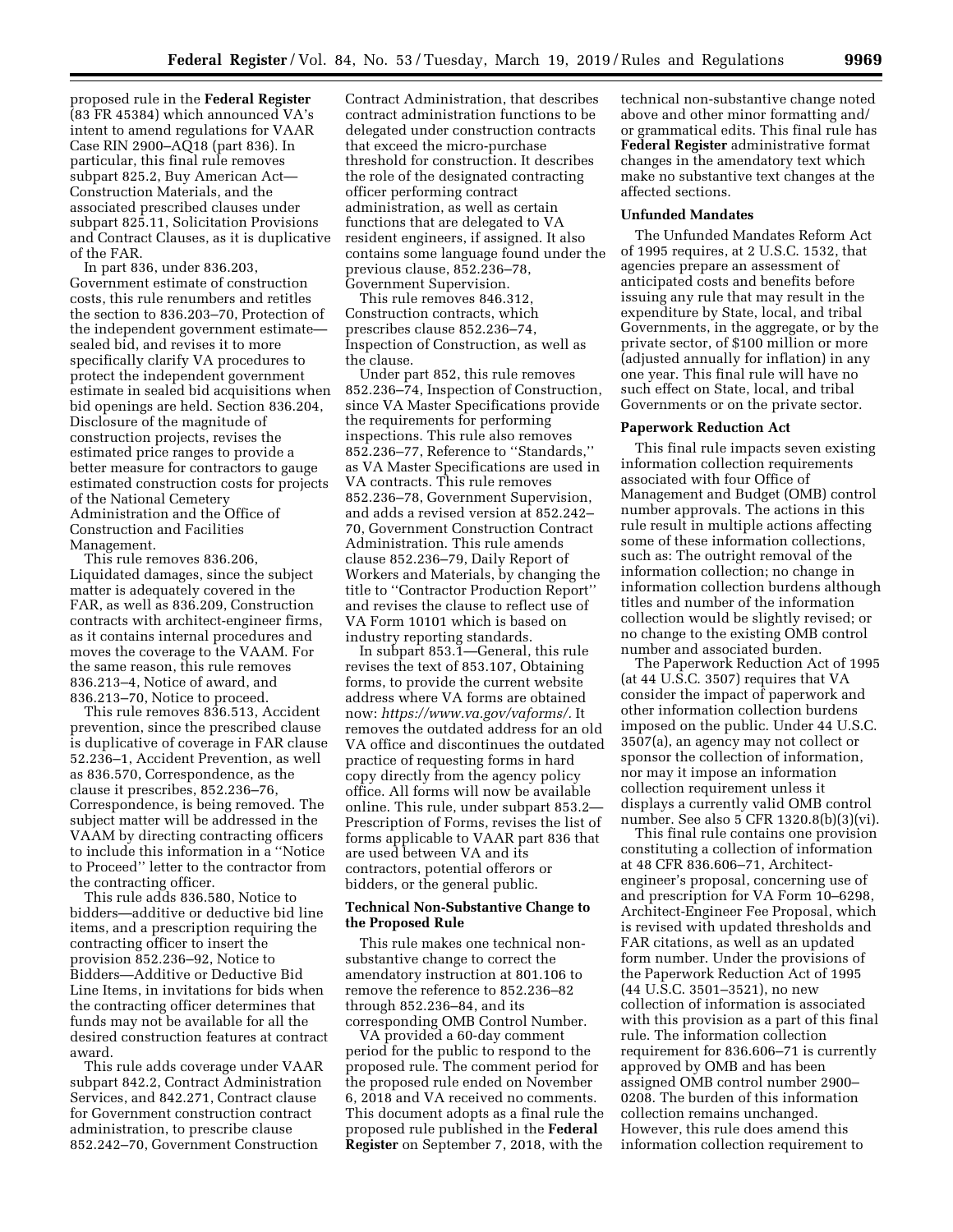proposed rule in the **Federal Register**  (83 FR 45384) which announced VA's intent to amend regulations for VAAR Case RIN 2900–AQ18 (part 836). In particular, this final rule removes subpart 825.2, Buy American Act— Construction Materials, and the associated prescribed clauses under subpart 825.11, Solicitation Provisions and Contract Clauses, as it is duplicative of the FAR.

In part 836, under 836.203, Government estimate of construction costs, this rule renumbers and retitles the section to 836.203–70, Protection of the independent government estimate sealed bid, and revises it to more specifically clarify VA procedures to protect the independent government estimate in sealed bid acquisitions when bid openings are held. Section 836.204, Disclosure of the magnitude of construction projects, revises the estimated price ranges to provide a better measure for contractors to gauge estimated construction costs for projects of the National Cemetery Administration and the Office of Construction and Facilities Management.

This rule removes 836.206, Liquidated damages, since the subject matter is adequately covered in the FAR, as well as 836.209, Construction contracts with architect-engineer firms, as it contains internal procedures and moves the coverage to the VAAM. For the same reason, this rule removes 836.213–4, Notice of award, and 836.213–70, Notice to proceed.

This rule removes 836.513, Accident prevention, since the prescribed clause is duplicative of coverage in FAR clause 52.236–1, Accident Prevention, as well as 836.570, Correspondence, as the clause it prescribes, 852.236–76, Correspondence, is being removed. The subject matter will be addressed in the VAAM by directing contracting officers to include this information in a ''Notice to Proceed'' letter to the contractor from the contracting officer.

This rule adds 836.580, Notice to bidders—additive or deductive bid line items, and a prescription requiring the contracting officer to insert the provision 852.236–92, Notice to Bidders—Additive or Deductive Bid Line Items, in invitations for bids when the contracting officer determines that funds may not be available for all the desired construction features at contract award.

This rule adds coverage under VAAR subpart 842.2, Contract Administration Services, and 842.271, Contract clause for Government construction contract administration, to prescribe clause 852.242–70, Government Construction

Contract Administration, that describes contract administration functions to be delegated under construction contracts that exceed the micro-purchase threshold for construction. It describes the role of the designated contracting officer performing contract administration, as well as certain functions that are delegated to VA resident engineers, if assigned. It also contains some language found under the previous clause, 852.236–78, Government Supervision.

This rule removes 846.312, Construction contracts, which prescribes clause 852.236–74, Inspection of Construction, as well as the clause.

Under part 852, this rule removes 852.236–74, Inspection of Construction, since VA Master Specifications provide the requirements for performing inspections. This rule also removes 852.236–77, Reference to ''Standards,'' as VA Master Specifications are used in VA contracts. This rule removes 852.236–78, Government Supervision, and adds a revised version at 852.242– 70, Government Construction Contract Administration. This rule amends clause 852.236–79, Daily Report of Workers and Materials, by changing the title to ''Contractor Production Report'' and revises the clause to reflect use of VA Form 10101 which is based on industry reporting standards.

In subpart 853.1—General, this rule revises the text of 853.107, Obtaining forms, to provide the current website address where VA forms are obtained now: *[https://www.va.gov/vaforms/.](https://www.va.gov/vaforms/)* It removes the outdated address for an old VA office and discontinues the outdated practice of requesting forms in hard copy directly from the agency policy office. All forms will now be available online. This rule, under subpart 853.2— Prescription of Forms, revises the list of forms applicable to VAAR part 836 that are used between VA and its contractors, potential offerors or bidders, or the general public.

## **Technical Non-Substantive Change to the Proposed Rule**

This rule makes one technical nonsubstantive change to correct the amendatory instruction at 801.106 to remove the reference to 852.236–82 through 852.236–84, and its corresponding OMB Control Number.

VA provided a 60-day comment period for the public to respond to the proposed rule. The comment period for the proposed rule ended on November 6, 2018 and VA received no comments. This document adopts as a final rule the proposed rule published in the **Federal Register** on September 7, 2018, with the

technical non-substantive change noted above and other minor formatting and/ or grammatical edits. This final rule has **Federal Register** administrative format changes in the amendatory text which make no substantive text changes at the affected sections.

# **Unfunded Mandates**

The Unfunded Mandates Reform Act of 1995 requires, at 2 U.S.C. 1532, that agencies prepare an assessment of anticipated costs and benefits before issuing any rule that may result in the expenditure by State, local, and tribal Governments, in the aggregate, or by the private sector, of \$100 million or more (adjusted annually for inflation) in any one year. This final rule will have no such effect on State, local, and tribal Governments or on the private sector.

#### **Paperwork Reduction Act**

This final rule impacts seven existing information collection requirements associated with four Office of Management and Budget (OMB) control number approvals. The actions in this rule result in multiple actions affecting some of these information collections, such as: The outright removal of the information collection; no change in information collection burdens although titles and number of the information collection would be slightly revised; or no change to the existing OMB control number and associated burden.

The Paperwork Reduction Act of 1995 (at 44 U.S.C. 3507) requires that VA consider the impact of paperwork and other information collection burdens imposed on the public. Under 44 U.S.C. 3507(a), an agency may not collect or sponsor the collection of information, nor may it impose an information collection requirement unless it displays a currently valid OMB control number. See also 5 CFR 1320.8(b)(3)(vi).

This final rule contains one provision constituting a collection of information at 48 CFR 836.606–71, Architectengineer's proposal, concerning use of and prescription for VA Form 10–6298, Architect-Engineer Fee Proposal, which is revised with updated thresholds and FAR citations, as well as an updated form number. Under the provisions of the Paperwork Reduction Act of 1995 (44 U.S.C. 3501–3521), no new collection of information is associated with this provision as a part of this final rule. The information collection requirement for 836.606–71 is currently approved by OMB and has been assigned OMB control number 2900– 0208. The burden of this information collection remains unchanged. However, this rule does amend this information collection requirement to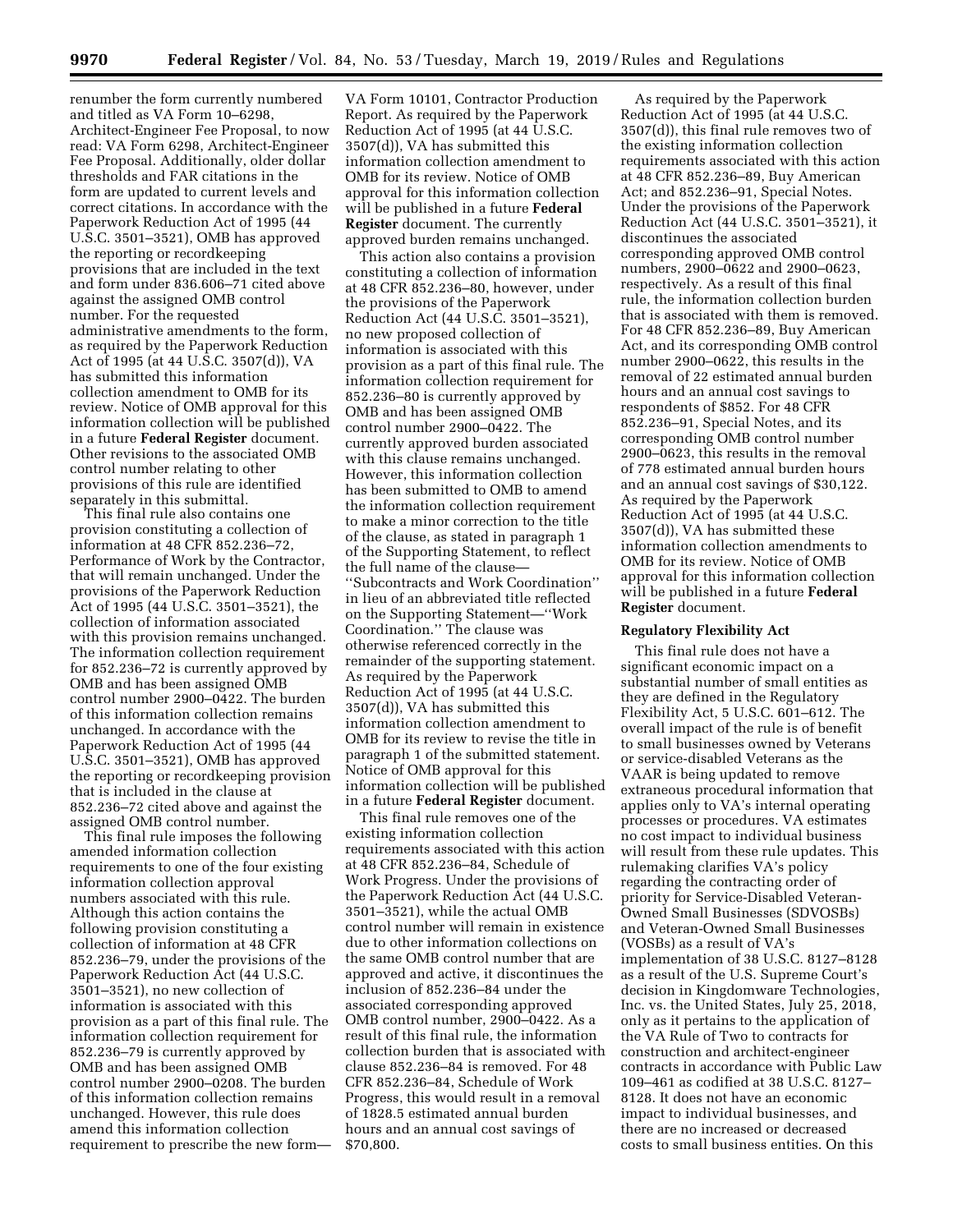renumber the form currently numbered and titled as VA Form 10–6298, Architect-Engineer Fee Proposal, to now read: VA Form 6298, Architect-Engineer Fee Proposal. Additionally, older dollar thresholds and FAR citations in the form are updated to current levels and correct citations. In accordance with the Paperwork Reduction Act of 1995 (44 U.S.C. 3501–3521), OMB has approved the reporting or recordkeeping provisions that are included in the text and form under 836.606–71 cited above against the assigned OMB control number. For the requested administrative amendments to the form, as required by the Paperwork Reduction Act of 1995 (at 44 U.S.C. 3507(d)), VA has submitted this information collection amendment to OMB for its review. Notice of OMB approval for this information collection will be published in a future **Federal Register** document. Other revisions to the associated OMB control number relating to other provisions of this rule are identified separately in this submittal.

This final rule also contains one provision constituting a collection of information at 48 CFR 852.236–72, Performance of Work by the Contractor, that will remain unchanged. Under the provisions of the Paperwork Reduction Act of 1995 (44 U.S.C. 3501–3521), the collection of information associated with this provision remains unchanged. The information collection requirement for 852.236–72 is currently approved by OMB and has been assigned OMB control number 2900–0422. The burden of this information collection remains unchanged. In accordance with the Paperwork Reduction Act of 1995 (44 U.S.C. 3501–3521), OMB has approved the reporting or recordkeeping provision that is included in the clause at 852.236–72 cited above and against the assigned OMB control number.

This final rule imposes the following amended information collection requirements to one of the four existing information collection approval numbers associated with this rule. Although this action contains the following provision constituting a collection of information at 48 CFR 852.236–79, under the provisions of the Paperwork Reduction Act (44 U.S.C. 3501–3521), no new collection of information is associated with this provision as a part of this final rule. The information collection requirement for 852.236–79 is currently approved by OMB and has been assigned OMB control number 2900–0208. The burden of this information collection remains unchanged. However, this rule does amend this information collection requirement to prescribe the new form—

VA Form 10101, Contractor Production Report. As required by the Paperwork Reduction Act of 1995 (at 44 U.S.C. 3507(d)), VA has submitted this information collection amendment to OMB for its review. Notice of OMB approval for this information collection will be published in a future **Federal Register** document. The currently approved burden remains unchanged.

This action also contains a provision constituting a collection of information at 48 CFR 852.236–80, however, under the provisions of the Paperwork Reduction Act (44 U.S.C. 3501–3521), no new proposed collection of information is associated with this provision as a part of this final rule. The information collection requirement for 852.236–80 is currently approved by OMB and has been assigned OMB control number 2900–0422. The currently approved burden associated with this clause remains unchanged. However, this information collection has been submitted to OMB to amend the information collection requirement to make a minor correction to the title of the clause, as stated in paragraph 1 of the Supporting Statement, to reflect the full name of the clause— ''Subcontracts and Work Coordination'' in lieu of an abbreviated title reflected on the Supporting Statement—''Work Coordination.'' The clause was otherwise referenced correctly in the remainder of the supporting statement. As required by the Paperwork Reduction Act of 1995 (at 44 U.S.C. 3507(d)), VA has submitted this information collection amendment to OMB for its review to revise the title in paragraph 1 of the submitted statement. Notice of OMB approval for this information collection will be published in a future **Federal Register** document.

This final rule removes one of the existing information collection requirements associated with this action at 48 CFR 852.236–84, Schedule of Work Progress. Under the provisions of the Paperwork Reduction Act (44 U.S.C. 3501–3521), while the actual OMB control number will remain in existence due to other information collections on the same OMB control number that are approved and active, it discontinues the inclusion of 852.236–84 under the associated corresponding approved OMB control number, 2900–0422. As a result of this final rule, the information collection burden that is associated with clause 852.236–84 is removed. For 48 CFR 852.236–84, Schedule of Work Progress, this would result in a removal of 1828.5 estimated annual burden hours and an annual cost savings of \$70,800.

As required by the Paperwork Reduction Act of 1995 (at 44 U.S.C. 3507(d)), this final rule removes two of the existing information collection requirements associated with this action at 48 CFR 852.236–89, Buy American Act; and 852.236–91, Special Notes. Under the provisions of the Paperwork Reduction Act (44 U.S.C. 3501–3521), it discontinues the associated corresponding approved OMB control numbers, 2900–0622 and 2900–0623, respectively. As a result of this final rule, the information collection burden that is associated with them is removed. For 48 CFR 852.236–89, Buy American Act, and its corresponding OMB control number 2900–0622, this results in the removal of 22 estimated annual burden hours and an annual cost savings to respondents of \$852. For 48 CFR 852.236–91, Special Notes, and its corresponding OMB control number 2900–0623, this results in the removal of 778 estimated annual burden hours and an annual cost savings of \$30,122. As required by the Paperwork Reduction Act of 1995 (at 44 U.S.C. 3507(d)), VA has submitted these information collection amendments to OMB for its review. Notice of OMB approval for this information collection will be published in a future **Federal Register** document.

#### **Regulatory Flexibility Act**

This final rule does not have a significant economic impact on a substantial number of small entities as they are defined in the Regulatory Flexibility Act, 5 U.S.C. 601–612. The overall impact of the rule is of benefit to small businesses owned by Veterans or service-disabled Veterans as the VAAR is being updated to remove extraneous procedural information that applies only to VA's internal operating processes or procedures. VA estimates no cost impact to individual business will result from these rule updates. This rulemaking clarifies VA's policy regarding the contracting order of priority for Service-Disabled Veteran-Owned Small Businesses (SDVOSBs) and Veteran-Owned Small Businesses (VOSBs) as a result of VA's implementation of 38 U.S.C. 8127–8128 as a result of the U.S. Supreme Court's decision in Kingdomware Technologies, Inc. vs. the United States, July 25, 2018, only as it pertains to the application of the VA Rule of Two to contracts for construction and architect-engineer contracts in accordance with Public Law 109–461 as codified at 38 U.S.C. 8127– 8128. It does not have an economic impact to individual businesses, and there are no increased or decreased costs to small business entities. On this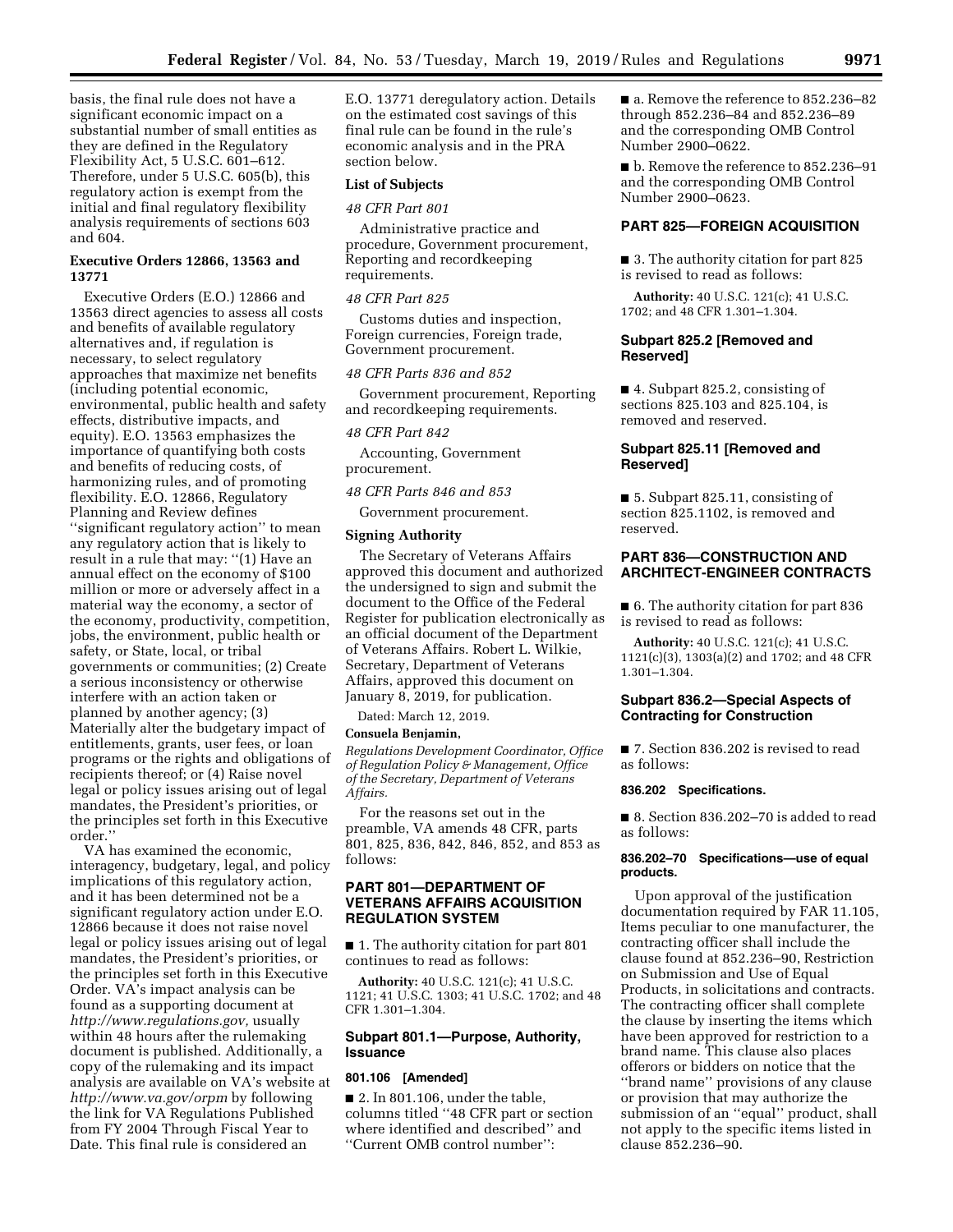basis, the final rule does not have a significant economic impact on a substantial number of small entities as they are defined in the Regulatory Flexibility Act, 5 U.S.C. 601–612. Therefore, under 5 U.S.C. 605(b), this regulatory action is exempt from the initial and final regulatory flexibility analysis requirements of sections 603 and 604.

### **Executive Orders 12866, 13563 and 13771**

Executive Orders (E.O.) 12866 and 13563 direct agencies to assess all costs and benefits of available regulatory alternatives and, if regulation is necessary, to select regulatory approaches that maximize net benefits (including potential economic, environmental, public health and safety effects, distributive impacts, and equity). E.O. 13563 emphasizes the importance of quantifying both costs and benefits of reducing costs, of harmonizing rules, and of promoting flexibility. E.O. 12866, Regulatory Planning and Review defines ''significant regulatory action'' to mean any regulatory action that is likely to result in a rule that may: ''(1) Have an annual effect on the economy of \$100 million or more or adversely affect in a material way the economy, a sector of the economy, productivity, competition, jobs, the environment, public health or safety, or State, local, or tribal governments or communities; (2) Create a serious inconsistency or otherwise interfere with an action taken or planned by another agency; (3) Materially alter the budgetary impact of entitlements, grants, user fees, or loan programs or the rights and obligations of recipients thereof; or (4) Raise novel legal or policy issues arising out of legal mandates, the President's priorities, or the principles set forth in this Executive order.''

VA has examined the economic, interagency, budgetary, legal, and policy implications of this regulatory action, and it has been determined not be a significant regulatory action under E.O. 12866 because it does not raise novel legal or policy issues arising out of legal mandates, the President's priorities, or the principles set forth in this Executive Order. VA's impact analysis can be found as a supporting document at *[http://www.regulations.gov,](http://www.regulations.gov)* usually within 48 hours after the rulemaking document is published. Additionally, a copy of the rulemaking and its impact analysis are available on VA's website at *<http://www.va.gov/orpm>* by following the link for VA Regulations Published from FY 2004 Through Fiscal Year to Date. This final rule is considered an

E.O. 13771 deregulatory action. Details on the estimated cost savings of this final rule can be found in the rule's economic analysis and in the PRA section below.

### **List of Subjects**

*48 CFR Part 801* 

Administrative practice and procedure, Government procurement, Reporting and recordkeeping requirements.

#### *48 CFR Part 825*

Customs duties and inspection, Foreign currencies, Foreign trade, Government procurement.

*48 CFR Parts 836 and 852* 

Government procurement, Reporting and recordkeeping requirements.

#### *48 CFR Part 842*

Accounting, Government procurement.

*48 CFR Parts 846 and 853* 

Government procurement.

#### **Signing Authority**

The Secretary of Veterans Affairs approved this document and authorized the undersigned to sign and submit the document to the Office of the Federal Register for publication electronically as an official document of the Department of Veterans Affairs. Robert L. Wilkie, Secretary, Department of Veterans Affairs, approved this document on January 8, 2019, for publication.

Dated: March 12, 2019.

#### **Consuela Benjamin,**

*Regulations Development Coordinator, Office of Regulation Policy & Management, Office of the Secretary, Department of Veterans Affairs.* 

For the reasons set out in the preamble, VA amends 48 CFR, parts 801, 825, 836, 842, 846, 852, and 853 as follows:

# **PART 801—DEPARTMENT OF VETERANS AFFAIRS ACQUISITION REGULATION SYSTEM**

■ 1. The authority citation for part 801 continues to read as follows:

**Authority:** 40 U.S.C. 121(c); 41 U.S.C. 1121; 41 U.S.C. 1303; 41 U.S.C. 1702; and 48 CFR 1.301–1.304.

# **Subpart 801.1—Purpose, Authority, Issuance**

#### **801.106 [Amended]**

 $\blacksquare$  2. In 801.106, under the table, columns titled ''48 CFR part or section where identified and described'' and ''Current OMB control number'':

■ a. Remove the reference to 852.236–82 through 852.236–84 and 852.236–89 and the corresponding OMB Control Number 2900–0622.

■ b. Remove the reference to 852.236-91 and the corresponding OMB Control Number 2900–0623.

# **PART 825—FOREIGN ACQUISITION**

■ 3. The authority citation for part 825 is revised to read as follows:

**Authority:** 40 U.S.C. 121(c); 41 U.S.C. 1702; and 48 CFR 1.301–1.304.

# **Subpart 825.2 [Removed and Reserved]**

■ 4. Subpart 825.2, consisting of sections 825.103 and 825.104, is removed and reserved.

# **Subpart 825.11 [Removed and Reserved]**

■ 5. Subpart 825.11, consisting of section 825.1102, is removed and reserved.

# **PART 836—CONSTRUCTION AND ARCHITECT-ENGINEER CONTRACTS**

■ 6. The authority citation for part 836 is revised to read as follows:

**Authority:** 40 U.S.C. 121(c); 41 U.S.C. 1121(c)(3), 1303(a)(2) and 1702; and 48 CFR 1.301–1.304.

# **Subpart 836.2—Special Aspects of Contracting for Construction**

■ 7. Section 836.202 is revised to read as follows:

#### **836.202 Specifications.**

■ 8. Section 836.202–70 is added to read as follows:

### **836.202–70 Specifications—use of equal products.**

Upon approval of the justification documentation required by FAR 11.105, Items peculiar to one manufacturer, the contracting officer shall include the clause found at 852.236–90, Restriction on Submission and Use of Equal Products, in solicitations and contracts. The contracting officer shall complete the clause by inserting the items which have been approved for restriction to a brand name. This clause also places offerors or bidders on notice that the ''brand name'' provisions of any clause or provision that may authorize the submission of an ''equal'' product, shall not apply to the specific items listed in clause 852.236–90.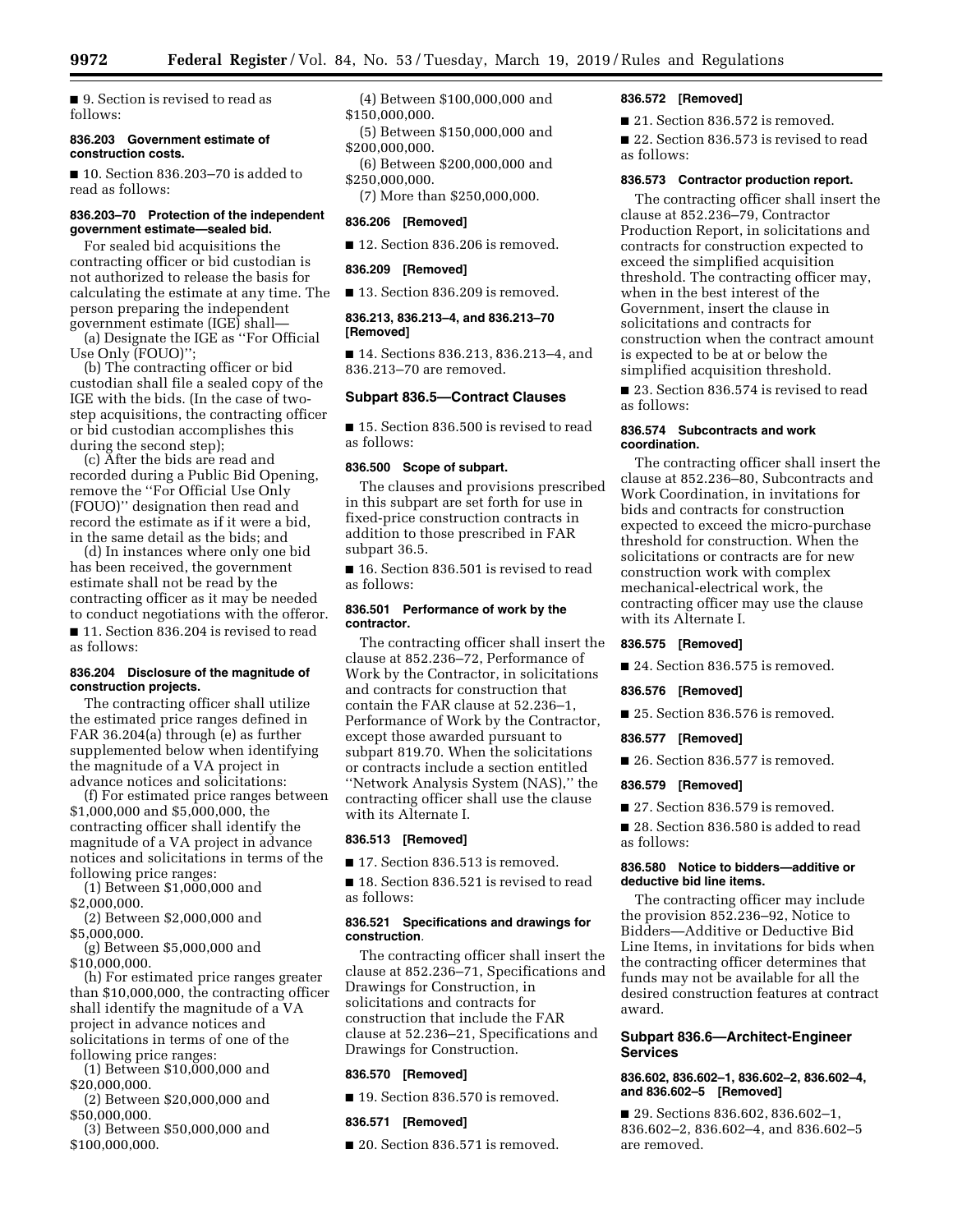■ 9. Section is revised to read as follows:

#### **836.203 Government estimate of construction costs.**

■ 10. Section 836,203–70 is added to read as follows:

# **836.203–70 Protection of the independent government estimate—sealed bid.**

For sealed bid acquisitions the contracting officer or bid custodian is not authorized to release the basis for calculating the estimate at any time. The person preparing the independent government estimate (IGE) shall— (a) Designate the IGE as ''For Official

Use Only (FOUO)''; (b) The contracting officer or bid custodian shall file a sealed copy of the IGE with the bids. (In the case of twostep acquisitions, the contracting officer or bid custodian accomplishes this during the second step);

(c) After the bids are read and recorded during a Public Bid Opening, remove the ''For Official Use Only (FOUO)'' designation then read and record the estimate as if it were a bid, in the same detail as the bids; and

(d) In instances where only one bid has been received, the government estimate shall not be read by the contracting officer as it may be needed to conduct negotiations with the offeror. ■ 11. Section 836.204 is revised to read as follows:

#### **836.204 Disclosure of the magnitude of construction projects.**

The contracting officer shall utilize the estimated price ranges defined in FAR 36.204(a) through (e) as further supplemented below when identifying the magnitude of a VA project in advance notices and solicitations:

(f) For estimated price ranges between \$1,000,000 and \$5,000,000, the contracting officer shall identify the magnitude of a VA project in advance notices and solicitations in terms of the following price ranges:

- (1) Between \$1,000,000 and \$2,000,000.
- (2) Between \$2,000,000 and \$5,000,000.

(g) Between \$5,000,000 and \$10,000,000.

(h) For estimated price ranges greater than \$10,000,000, the contracting officer shall identify the magnitude of a VA project in advance notices and solicitations in terms of one of the following price ranges:

(1) Between \$10,000,000 and \$20,000,000.

(2) Between \$20,000,000 and \$50,000,000.

(3) Between \$50,000,000 and \$100,000,000.

(4) Between \$100,000,000 and \$150,000,000.

(5) Between \$150,000,000 and \$200,000,000.

(6) Between \$200,000,000 and \$250,000,000.

(7) More than \$250,000,000.

# **836.206 [Removed]**

■ 12. Section 836.206 is removed.

### **836.209 [Removed]**

■ 13. Section 836.209 is removed.

# **836.213, 836.213–4, and 836.213–70 [Removed]**

■ 14. Sections 836.213, 836.213–4, and 836.213–70 are removed.

# **Subpart 836.5—Contract Clauses**

■ 15. Section 836.500 is revised to read as follows:

## **836.500 Scope of subpart.**

The clauses and provisions prescribed in this subpart are set forth for use in fixed-price construction contracts in addition to those prescribed in FAR subpart 36.5.

■ 16. Section 836.501 is revised to read as follows:

## **836.501 Performance of work by the contractor.**

The contracting officer shall insert the clause at 852.236–72, Performance of Work by the Contractor, in solicitations and contracts for construction that contain the FAR clause at 52.236–1, Performance of Work by the Contractor, except those awarded pursuant to subpart 819.70. When the solicitations or contracts include a section entitled ''Network Analysis System (NAS),'' the contracting officer shall use the clause with its Alternate I.

# **836.513 [Removed]**

■ 17. Section 836.513 is removed.

■ 18. Section 836.521 is revised to read as follows:

#### **836.521 Specifications and drawings for construction***.*

The contracting officer shall insert the clause at 852.236–71, Specifications and Drawings for Construction, in solicitations and contracts for construction that include the FAR clause at 52.236–21, Specifications and Drawings for Construction.

### **836.570 [Removed]**

■ 19. Section 836.570 is removed.

### **836.571 [Removed]**

■ 20. Section 836.571 is removed.

# **836.572 [Removed]**

■ 21. Section 836.572 is removed.

■ 22. Section 836.573 is revised to read as follows:

# **836.573 Contractor production report.**

The contracting officer shall insert the clause at 852.236–79, Contractor Production Report, in solicitations and contracts for construction expected to exceed the simplified acquisition threshold. The contracting officer may, when in the best interest of the Government, insert the clause in solicitations and contracts for construction when the contract amount is expected to be at or below the simplified acquisition threshold.

■ 23. Section 836.574 is revised to read as follows:

### **836.574 Subcontracts and work coordination.**

The contracting officer shall insert the clause at 852.236–80, Subcontracts and Work Coordination, in invitations for bids and contracts for construction expected to exceed the micro-purchase threshold for construction. When the solicitations or contracts are for new construction work with complex mechanical-electrical work, the contracting officer may use the clause with its Alternate I.

### **836.575 [Removed]**

■ 24. Section 836.575 is removed.

# **836.576 [Removed]**

■ 25. Section 836.576 is removed.

**836.577 [Removed]** 

■ 26. Section 836.577 is removed.

# **836.579 [Removed]**

■ 27. Section 836.579 is removed.

■ 28. Section 836.580 is added to read as follows:

### **836.580 Notice to bidders—additive or deductive bid line items.**

The contracting officer may include the provision 852.236–92, Notice to Bidders—Additive or Deductive Bid Line Items, in invitations for bids when the contracting officer determines that funds may not be available for all the desired construction features at contract award.

# **Subpart 836.6—Architect-Engineer Services**

# **836.602, 836.602–1, 836.602–2, 836.602–4, and 836.602–5 [Removed]**

■ 29. Sections 836.602, 836.602-1, 836.602–2, 836.602–4, and 836.602–5 are removed.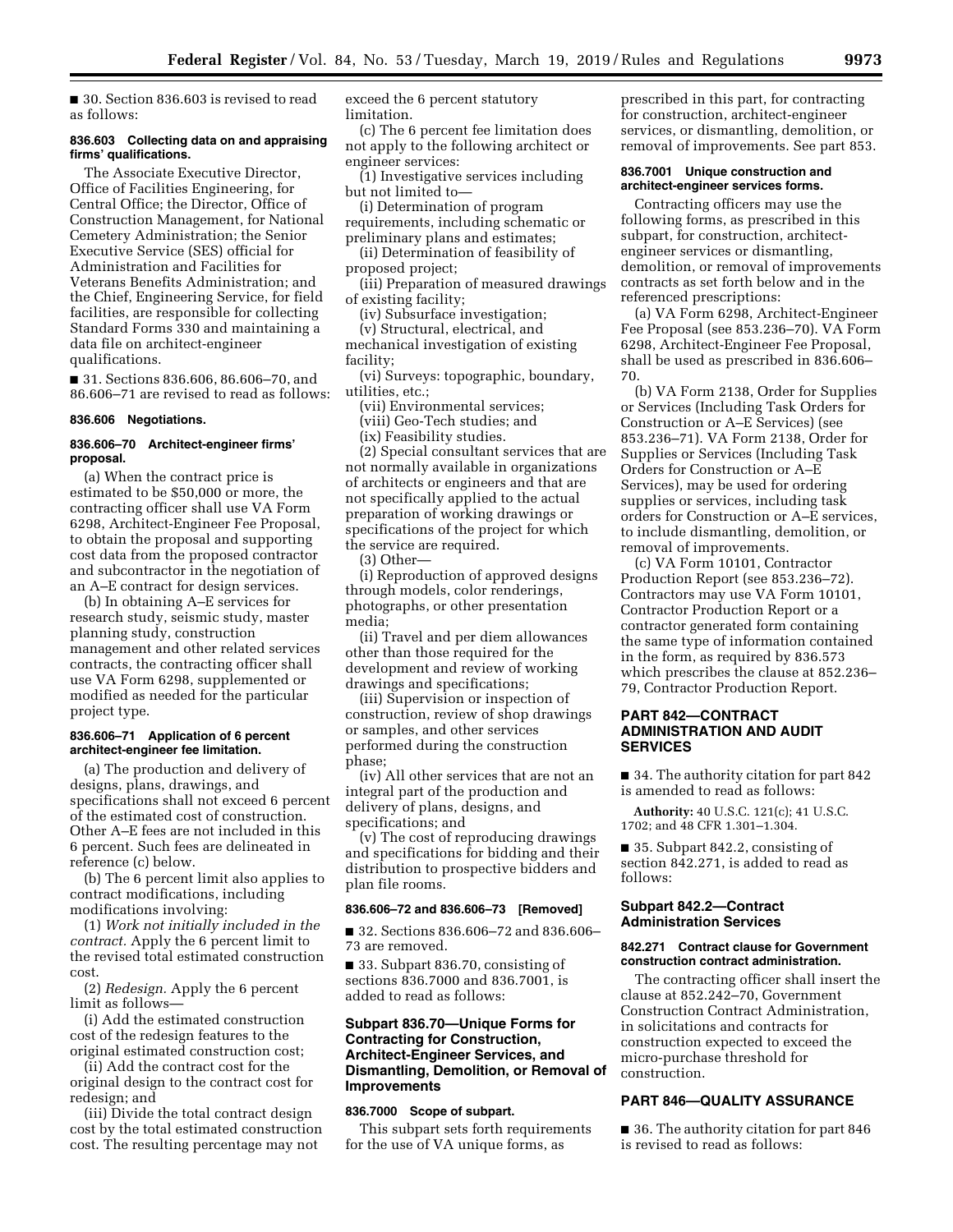■ 30. Section 836.603 is revised to read as follows:

### **836.603 Collecting data on and appraising firms' qualifications.**

The Associate Executive Director, Office of Facilities Engineering, for Central Office; the Director, Office of Construction Management, for National Cemetery Administration; the Senior Executive Service (SES) official for Administration and Facilities for Veterans Benefits Administration; and the Chief, Engineering Service, for field facilities, are responsible for collecting Standard Forms 330 and maintaining a data file on architect-engineer qualifications.

■ 31. Sections 836.606, 86.606–70, and 86.606–71 are revised to read as follows:

#### **836.606 Negotiations.**

#### **836.606–70 Architect-engineer firms' proposal.**

(a) When the contract price is estimated to be \$50,000 or more, the contracting officer shall use VA Form 6298, Architect-Engineer Fee Proposal, to obtain the proposal and supporting cost data from the proposed contractor and subcontractor in the negotiation of an A–E contract for design services.

(b) In obtaining A–E services for research study, seismic study, master planning study, construction management and other related services contracts, the contracting officer shall use VA Form 6298, supplemented or modified as needed for the particular project type.

### **836.606–71 Application of 6 percent architect-engineer fee limitation.**

(a) The production and delivery of designs, plans, drawings, and specifications shall not exceed 6 percent of the estimated cost of construction. Other A–E fees are not included in this 6 percent. Such fees are delineated in reference (c) below.

(b) The 6 percent limit also applies to contract modifications, including modifications involving:

(1) *Work not initially included in the contract.* Apply the 6 percent limit to the revised total estimated construction cost.

(2) *Redesign.* Apply the 6 percent limit as follows—

(i) Add the estimated construction cost of the redesign features to the original estimated construction cost;

(ii) Add the contract cost for the original design to the contract cost for redesign; and

(iii) Divide the total contract design cost by the total estimated construction cost. The resulting percentage may not

exceed the 6 percent statutory limitation.

(c) The 6 percent fee limitation does not apply to the following architect or engineer services:

(1) Investigative services including but not limited to—

(i) Determination of program requirements, including schematic or preliminary plans and estimates;

(ii) Determination of feasibility of proposed project;

(iii) Preparation of measured drawings of existing facility;

(iv) Subsurface investigation;

(v) Structural, electrical, and mechanical investigation of existing facility;

(vi) Surveys: topographic, boundary, utilities, etc.;

(vii) Environmental services; (viii) Geo-Tech studies; and

(ix) Feasibility studies.

(2) Special consultant services that are not normally available in organizations of architects or engineers and that are not specifically applied to the actual preparation of working drawings or specifications of the project for which the service are required.

(3) Other—

(i) Reproduction of approved designs through models, color renderings, photographs, or other presentation media;

(ii) Travel and per diem allowances other than those required for the development and review of working drawings and specifications;

(iii) Supervision or inspection of construction, review of shop drawings or samples, and other services performed during the construction phase;

(iv) All other services that are not an integral part of the production and delivery of plans, designs, and specifications; and

(v) The cost of reproducing drawings and specifications for bidding and their distribution to prospective bidders and plan file rooms.

### **836.606–72 and 836.606–73 [Removed]**

■ 32. Sections 836.606–72 and 836.606– 73 are removed.

■ 33. Subpart 836.70, consisting of sections 836.7000 and 836.7001, is added to read as follows:

# **Subpart 836.70—Unique Forms for Contracting for Construction, Architect-Engineer Services, and Dismantling, Demolition, or Removal of Improvements**

#### **836.7000 Scope of subpart.**

This subpart sets forth requirements for the use of VA unique forms, as

prescribed in this part, for contracting for construction, architect-engineer services, or dismantling, demolition, or removal of improvements. See part 853.

#### **836.7001 Unique construction and architect-engineer services forms.**

Contracting officers may use the following forms, as prescribed in this subpart, for construction, architectengineer services or dismantling, demolition, or removal of improvements contracts as set forth below and in the referenced prescriptions:

(a) VA Form 6298, Architect-Engineer Fee Proposal (see 853.236–70). VA Form 6298, Architect-Engineer Fee Proposal, shall be used as prescribed in 836.606– 70.

(b) VA Form 2138, Order for Supplies or Services (Including Task Orders for Construction or A–E Services) (see 853.236–71). VA Form 2138, Order for Supplies or Services (Including Task Orders for Construction or A–E Services), may be used for ordering supplies or services, including task orders for Construction or A–E services, to include dismantling, demolition, or removal of improvements.

(c) VA Form 10101, Contractor Production Report (see 853.236–72). Contractors may use VA Form 10101, Contractor Production Report or a contractor generated form containing the same type of information contained in the form, as required by 836.573 which prescribes the clause at 852.236– 79, Contractor Production Report.

# **PART 842—CONTRACT ADMINISTRATION AND AUDIT SERVICES**

■ 34. The authority citation for part 842 is amended to read as follows:

**Authority:** 40 U.S.C. 121(c); 41 U.S.C. 1702; and 48 CFR 1.301–1.304.

■ 35. Subpart 842.2, consisting of section 842.271, is added to read as follows:

### **Subpart 842.2—Contract Administration Services**

#### **842.271 Contract clause for Government construction contract administration.**

The contracting officer shall insert the clause at 852.242–70, Government Construction Contract Administration, in solicitations and contracts for construction expected to exceed the micro-purchase threshold for construction.

# **PART 846—QUALITY ASSURANCE**

■ 36. The authority citation for part 846 is revised to read as follows: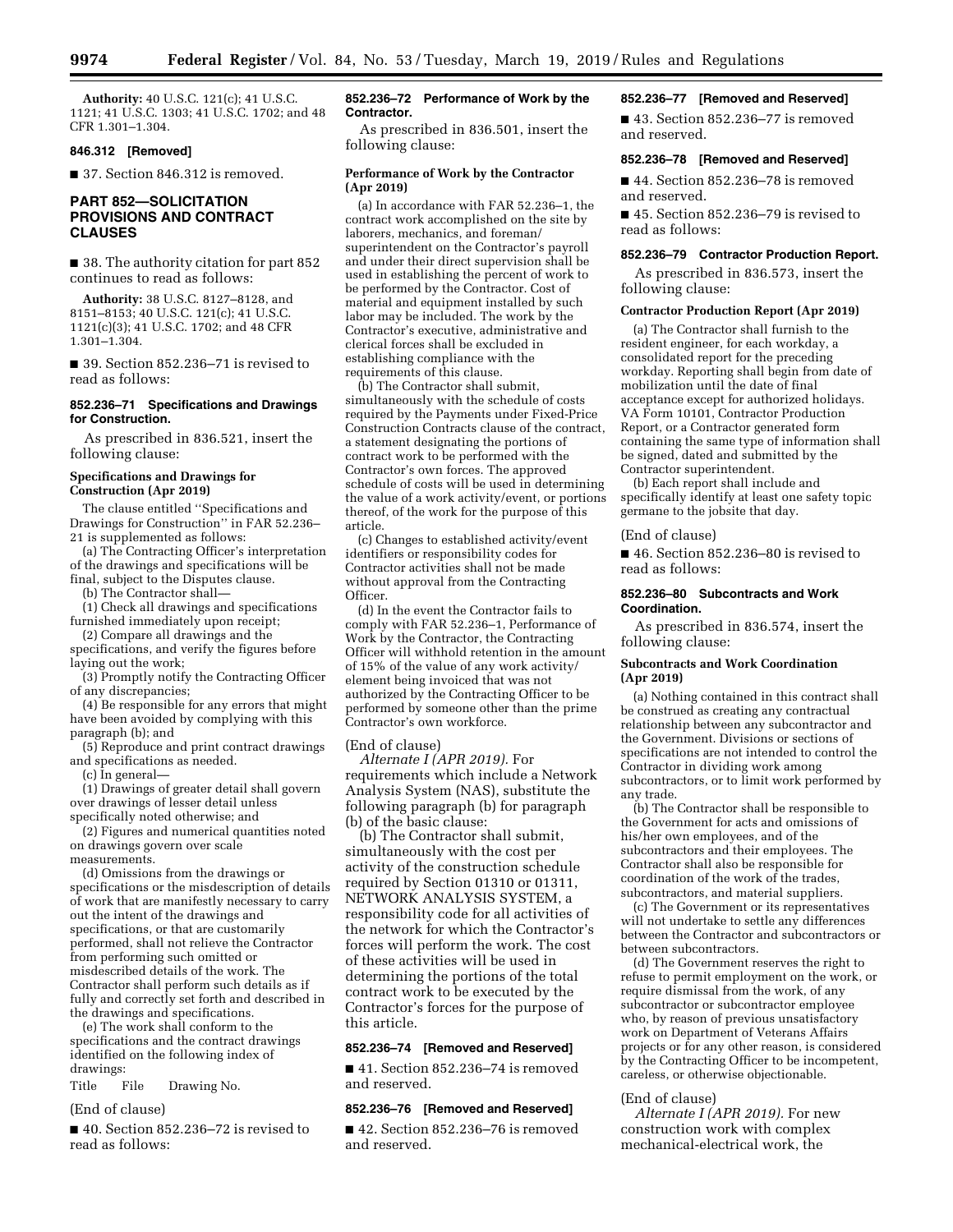**Authority:** 40 U.S.C. 121(c); 41 U.S.C. 1121; 41 U.S.C. 1303; 41 U.S.C. 1702; and 48 CFR 1.301–1.304.

# **846.312 [Removed]**

■ 37. Section 846.312 is removed.

# **PART 852—SOLICITATION PROVISIONS AND CONTRACT CLAUSES**

■ 38. The authority citation for part 852 continues to read as follows:

**Authority:** 38 U.S.C. 8127–8128, and 8151–8153; 40 U.S.C. 121(c); 41 U.S.C. 1121(c)(3); 41 U.S.C. 1702; and 48 CFR 1.301–1.304.

■ 39. Section 852.236–71 is revised to read as follows:

### **852.236–71 Specifications and Drawings for Construction.**

As prescribed in 836.521, insert the following clause:

#### **Specifications and Drawings for Construction (Apr 2019)**

The clause entitled ''Specifications and Drawings for Construction'' in FAR 52.236– 21 is supplemented as follows:

(a) The Contracting Officer's interpretation of the drawings and specifications will be final, subject to the Disputes clause.

(b) The Contractor shall—

(1) Check all drawings and specifications furnished immediately upon receipt;

(2) Compare all drawings and the specifications, and verify the figures before laying out the work;

(3) Promptly notify the Contracting Officer of any discrepancies;

(4) Be responsible for any errors that might have been avoided by complying with this paragraph (b); and

(5) Reproduce and print contract drawings and specifications as needed.

(c) In general—

(1) Drawings of greater detail shall govern over drawings of lesser detail unless specifically noted otherwise; and

(2) Figures and numerical quantities noted on drawings govern over scale measurements.

(d) Omissions from the drawings or specifications or the misdescription of details of work that are manifestly necessary to carry out the intent of the drawings and specifications, or that are customarily performed, shall not relieve the Contractor from performing such omitted or misdescribed details of the work. The Contractor shall perform such details as if fully and correctly set forth and described in the drawings and specifications.

(e) The work shall conform to the specifications and the contract drawings identified on the following index of drawings:

Title File Drawing No.

#### (End of clause)

■ 40. Section 852.236–72 is revised to read as follows:

## **852.236–72 Performance of Work by the Contractor.**

As prescribed in 836.501, insert the following clause:

### **Performance of Work by the Contractor (Apr 2019)**

(a) In accordance with FAR 52.236–1, the contract work accomplished on the site by laborers, mechanics, and foreman/ superintendent on the Contractor's payroll and under their direct supervision shall be used in establishing the percent of work to be performed by the Contractor. Cost of material and equipment installed by such labor may be included. The work by the Contractor's executive, administrative and clerical forces shall be excluded in establishing compliance with the requirements of this clause.

(b) The Contractor shall submit, simultaneously with the schedule of costs required by the Payments under Fixed-Price Construction Contracts clause of the contract, a statement designating the portions of contract work to be performed with the Contractor's own forces. The approved schedule of costs will be used in determining the value of a work activity/event, or portions thereof, of the work for the purpose of this article.

(c) Changes to established activity/event identifiers or responsibility codes for Contractor activities shall not be made without approval from the Contracting Officer.

(d) In the event the Contractor fails to comply with FAR 52.236–1, Performance of Work by the Contractor, the Contracting Officer will withhold retention in the amount of 15% of the value of any work activity/ element being invoiced that was not authorized by the Contracting Officer to be performed by someone other than the prime Contractor's own workforce.

#### (End of clause)

*Alternate I (APR 2019).* For requirements which include a Network Analysis System (NAS), substitute the following paragraph (b) for paragraph (b) of the basic clause:

(b) The Contractor shall submit, simultaneously with the cost per activity of the construction schedule required by Section 01310 or 01311, NETWORK ANALYSIS SYSTEM, a responsibility code for all activities of the network for which the Contractor's forces will perform the work. The cost of these activities will be used in determining the portions of the total contract work to be executed by the Contractor's forces for the purpose of this article.

### **852.236–74 [Removed and Reserved]**

■ 41. Section 852.236-74 is removed and reserved.

# **852.236–76 [Removed and Reserved]**

■ 42. Section 852.236-76 is removed and reserved.

# **852.236–77 [Removed and Reserved]**

■ 43. Section 852.236-77 is removed and reserved.

# **852.236–78 [Removed and Reserved]**

■ 44. Section 852.236–78 is removed and reserved.

■ 45. Section 852.236-79 is revised to read as follows:

# **852.236–79 Contractor Production Report.**

As prescribed in 836.573, insert the following clause:

#### **Contractor Production Report (Apr 2019)**

(a) The Contractor shall furnish to the resident engineer, for each workday, a consolidated report for the preceding workday. Reporting shall begin from date of mobilization until the date of final acceptance except for authorized holidays. VA Form 10101, Contractor Production Report, or a Contractor generated form containing the same type of information shall be signed, dated and submitted by the Contractor superintendent.

(b) Each report shall include and specifically identify at least one safety topic germane to the jobsite that day.

#### (End of clause)

■ 46. Section 852.236–80 is revised to read as follows:

#### **852.236–80 Subcontracts and Work Coordination.**

As prescribed in 836.574, insert the following clause:

#### **Subcontracts and Work Coordination (Apr 2019)**

(a) Nothing contained in this contract shall be construed as creating any contractual relationship between any subcontractor and the Government. Divisions or sections of specifications are not intended to control the Contractor in dividing work among subcontractors, or to limit work performed by any trade.

(b) The Contractor shall be responsible to the Government for acts and omissions of his/her own employees, and of the subcontractors and their employees. The Contractor shall also be responsible for coordination of the work of the trades, subcontractors, and material suppliers.

(c) The Government or its representatives will not undertake to settle any differences between the Contractor and subcontractors or between subcontractors.

(d) The Government reserves the right to refuse to permit employment on the work, or require dismissal from the work, of any subcontractor or subcontractor employee who, by reason of previous unsatisfactory work on Department of Veterans Affairs projects or for any other reason, is considered by the Contracting Officer to be incompetent, careless, or otherwise objectionable.

#### (End of clause)

*Alternate I (APR 2019).* For new construction work with complex mechanical-electrical work, the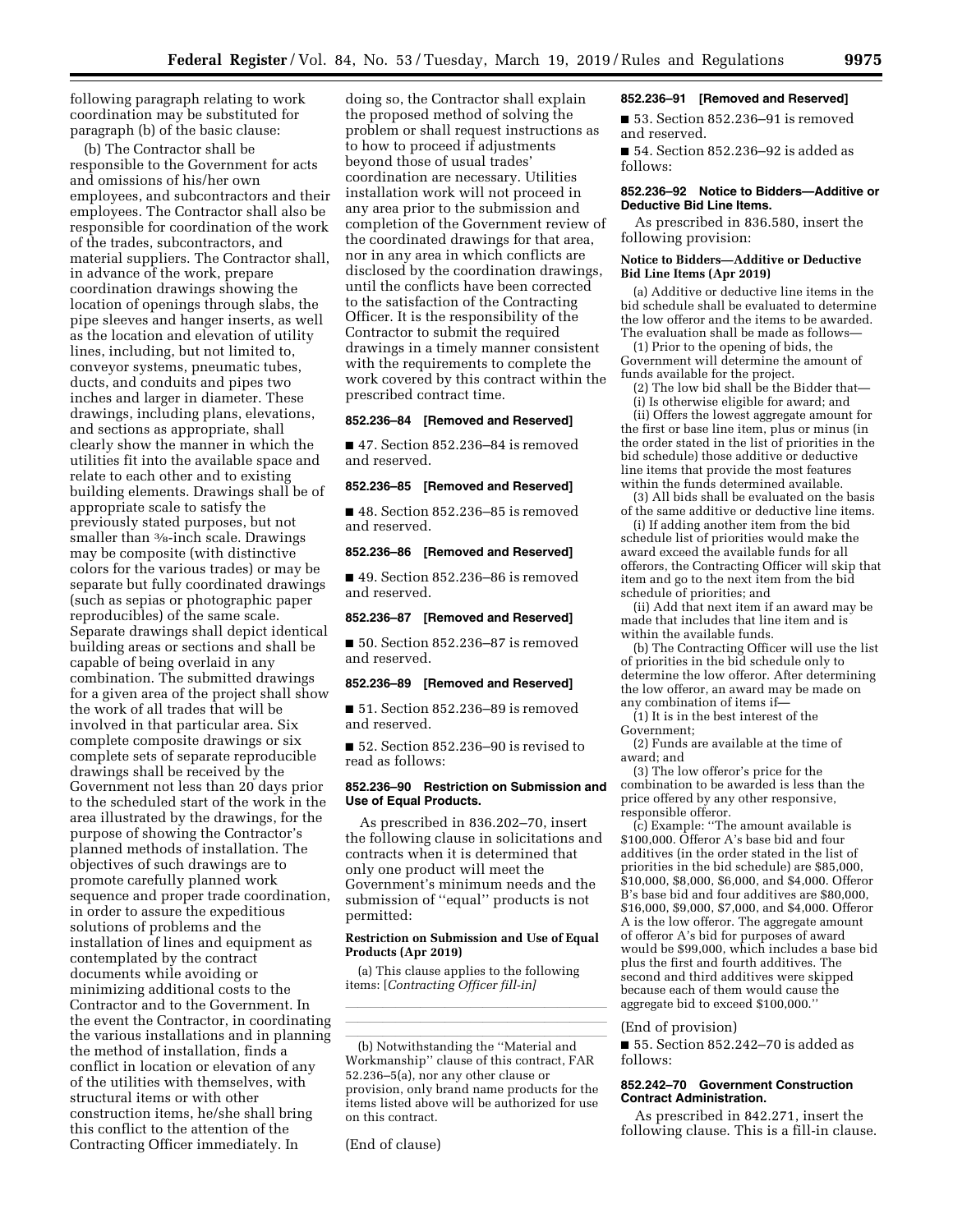following paragraph relating to work coordination may be substituted for paragraph (b) of the basic clause:

(b) The Contractor shall be responsible to the Government for acts and omissions of his/her own employees, and subcontractors and their employees. The Contractor shall also be responsible for coordination of the work of the trades, subcontractors, and material suppliers. The Contractor shall, in advance of the work, prepare coordination drawings showing the location of openings through slabs, the pipe sleeves and hanger inserts, as well as the location and elevation of utility lines, including, but not limited to, conveyor systems, pneumatic tubes, ducts, and conduits and pipes two inches and larger in diameter. These drawings, including plans, elevations, and sections as appropriate, shall clearly show the manner in which the utilities fit into the available space and relate to each other and to existing building elements. Drawings shall be of appropriate scale to satisfy the previously stated purposes, but not smaller than <sup>3</sup>/8-inch scale. Drawings may be composite (with distinctive colors for the various trades) or may be separate but fully coordinated drawings (such as sepias or photographic paper reproducibles) of the same scale. Separate drawings shall depict identical building areas or sections and shall be capable of being overlaid in any combination. The submitted drawings for a given area of the project shall show the work of all trades that will be involved in that particular area. Six complete composite drawings or six complete sets of separate reproducible drawings shall be received by the Government not less than 20 days prior to the scheduled start of the work in the area illustrated by the drawings, for the purpose of showing the Contractor's planned methods of installation. The objectives of such drawings are to promote carefully planned work sequence and proper trade coordination, in order to assure the expeditious solutions of problems and the installation of lines and equipment as contemplated by the contract documents while avoiding or minimizing additional costs to the Contractor and to the Government. In the event the Contractor, in coordinating the various installations and in planning the method of installation, finds a conflict in location or elevation of any of the utilities with themselves, with structural items or with other construction items, he/she shall bring this conflict to the attention of the Contracting Officer immediately. In

doing so, the Contractor shall explain the proposed method of solving the problem or shall request instructions as to how to proceed if adjustments beyond those of usual trades' coordination are necessary. Utilities installation work will not proceed in any area prior to the submission and completion of the Government review of the coordinated drawings for that area, nor in any area in which conflicts are disclosed by the coordination drawings, until the conflicts have been corrected to the satisfaction of the Contracting Officer. It is the responsibility of the Contractor to submit the required drawings in a timely manner consistent with the requirements to complete the work covered by this contract within the prescribed contract time.

### **852.236–84 [Removed and Reserved]**

■ 47. Section 852.236-84 is removed and reserved.

# **852.236–85 [Removed and Reserved]**

■ 48. Section 852.236–85 is removed and reserved.

#### **852.236–86 [Removed and Reserved]**

■ 49. Section 852.236–86 is removed and reserved.

#### **852.236–87 [Removed and Reserved]**

■ 50. Section 852.236–87 is removed and reserved.

#### **852.236–89 [Removed and Reserved]**

■ 51. Section 852.236-89 is removed and reserved.

■ 52. Section 852.236-90 is revised to read as follows:

### **852.236–90 Restriction on Submission and Use of Equal Products.**

As prescribed in 836.202–70, insert the following clause in solicitations and contracts when it is determined that only one product will meet the Government's minimum needs and the submission of ''equal'' products is not permitted:

#### **Restriction on Submission and Use of Equal Products (Apr 2019)**

lllland and a state of the state of the state of the state of the state of the state of the state of the state lllland and a state of the state of the state of the state of the state of the state of the state of the state

(a) This clause applies to the following items: [*Contracting Officer fill-in]* 

(b) Notwithstanding the "Material and Workmanship'' clause of this contract, FAR 52.236–5(a), nor any other clause or provision, only brand name products for the items listed above will be authorized for use on this contract.

(End of clause)

#### **852.236–91 [Removed and Reserved]**

■ 53. Section 852.236–91 is removed and reserved.

■ 54. Section 852.236-92 is added as follows:

#### **852.236–92 Notice to Bidders—Additive or Deductive Bid Line Items.**

As prescribed in 836.580, insert the following provision:

### **Notice to Bidders—Additive or Deductive Bid Line Items (Apr 2019)**

(a) Additive or deductive line items in the bid schedule shall be evaluated to determine the low offeror and the items to be awarded. The evaluation shall be made as follows—

(1) Prior to the opening of bids, the Government will determine the amount of funds available for the project.

(2) The low bid shall be the Bidder that—

(i) Is otherwise eligible for award; and (ii) Offers the lowest aggregate amount for the first or base line item, plus or minus (in the order stated in the list of priorities in the bid schedule) those additive or deductive line items that provide the most features within the funds determined available.

(3) All bids shall be evaluated on the basis of the same additive or deductive line items.

(i) If adding another item from the bid schedule list of priorities would make the award exceed the available funds for all offerors, the Contracting Officer will skip that item and go to the next item from the bid schedule of priorities; and

(ii) Add that next item if an award may be made that includes that line item and is within the available funds.

(b) The Contracting Officer will use the list of priorities in the bid schedule only to determine the low offeror. After determining the low offeror, an award may be made on any combination of items if—

(1) It is in the best interest of the Government;

(2) Funds are available at the time of award; and

(3) The low offeror's price for the combination to be awarded is less than the price offered by any other responsive, responsible offeror.

(c) Example: ''The amount available is \$100,000. Offeror A's base bid and four additives (in the order stated in the list of priorities in the bid schedule) are \$85,000, \$10,000, \$8,000, \$6,000, and \$4,000. Offeror B's base bid and four additives are \$80,000, \$16,000, \$9,000, \$7,000, and \$4,000. Offeror A is the low offeror. The aggregate amount of offeror A's bid for purposes of award would be \$99,000, which includes a base bid plus the first and fourth additives. The second and third additives were skipped because each of them would cause the aggregate bid to exceed \$100,000.''

### (End of provision)

■ 55. Section 852.242–70 is added as follows:

## **852.242–70 Government Construction Contract Administration.**

As prescribed in 842.271, insert the following clause. This is a fill-in clause.